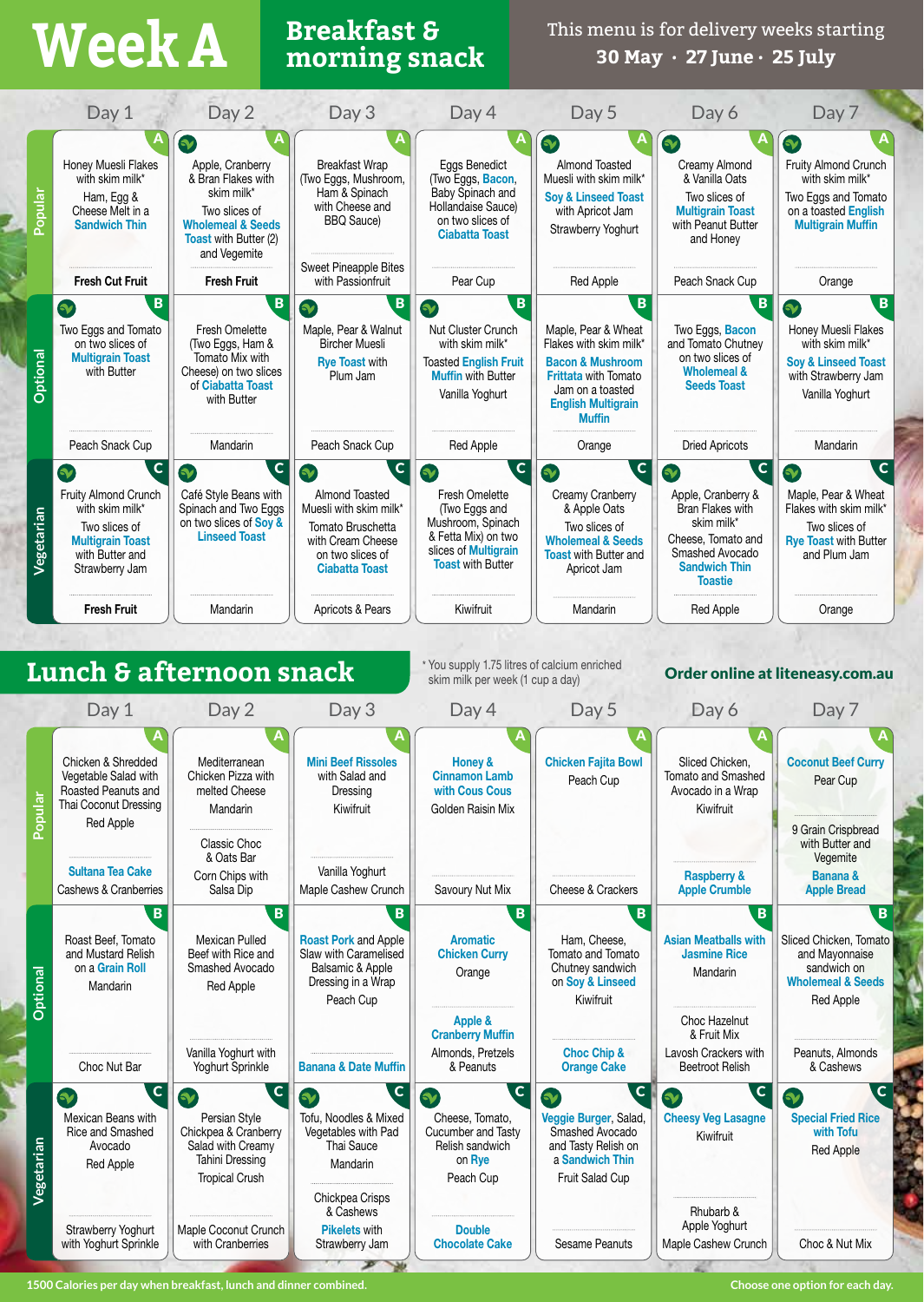# **Breakfast & Week A morning snack**

This menu is for delivery weeks starting **30 May · 27 June · 25 July**

| V<br>R<br>V<br>Honey Muesli Flakes<br><b>Breakfast Wrap</b><br>Eggs Benedict<br>Almond Toasted<br>Creamy Almond<br>Apple, Cranberry<br>with skim milk*<br>& Bran Flakes with<br>Muesli with skim milk*<br>& Vanilla Oats<br>(Two Eggs, Mushroom,<br>(Two Eggs, Bacon,<br>skim milk*<br>Baby Spinach and<br>Ham & Spinach<br><b>Soy &amp; Linseed Toast</b><br>Two slices of<br>Ham, Egg &                                                                                                                                                                                                                                                                                                                                                                                                                                                                                                                                         | $\bullet$<br>Fruity Almond Crunch<br>with skim milk*<br>Two Eggs and Tomato                                                                              |
|-----------------------------------------------------------------------------------------------------------------------------------------------------------------------------------------------------------------------------------------------------------------------------------------------------------------------------------------------------------------------------------------------------------------------------------------------------------------------------------------------------------------------------------------------------------------------------------------------------------------------------------------------------------------------------------------------------------------------------------------------------------------------------------------------------------------------------------------------------------------------------------------------------------------------------------|----------------------------------------------------------------------------------------------------------------------------------------------------------|
|                                                                                                                                                                                                                                                                                                                                                                                                                                                                                                                                                                                                                                                                                                                                                                                                                                                                                                                                   |                                                                                                                                                          |
| Popular<br>with Cheese and<br>Hollandaise Sauce)<br>Two slices of<br>Cheese Melt in a<br>with Apricot Jam<br><b>Multigrain Toast</b><br>on two slices of<br><b>BBQ Sauce)</b><br><b>Sandwich Thin</b><br>with Peanut Butter<br><b>Wholemeal &amp; Seeds</b><br>Strawberry Yoghurt<br><b>Ciabatta Toast</b><br><b>Toast with Butter (2)</b><br>and Honey<br>and Vegemite                                                                                                                                                                                                                                                                                                                                                                                                                                                                                                                                                           | on a toasted English<br><b>Multigrain Muffin</b>                                                                                                         |
| Sweet Pineapple Bites<br><b>Fresh Cut Fruit</b><br><b>Fresh Fruit</b><br>Pear Cup<br>Red Apple<br>Peach Snack Cup<br>with Passionfruit                                                                                                                                                                                                                                                                                                                                                                                                                                                                                                                                                                                                                                                                                                                                                                                            | Orange                                                                                                                                                   |
| B<br>$\overline{B}$<br>$\mathbf{B}$<br>$\mathbf{B}$<br>B<br><b>Sy</b><br>$\gamma$                                                                                                                                                                                                                                                                                                                                                                                                                                                                                                                                                                                                                                                                                                                                                                                                                                                 | B<br>B<br>$\mathbf{v}$                                                                                                                                   |
| Nut Cluster Crunch<br>Two Eggs and Tomato<br>Fresh Omelette<br>Maple, Pear & Walnut<br>Maple, Pear & Wheat<br>Two Eggs, Bacon<br>and Tomato Chutney<br>on two slices of<br>(Two Eggs, Ham &<br><b>Bircher Muesli</b><br>with skim milk*<br>Flakes with skim milk*<br>Optional<br><b>Multigrain Toast</b><br>Tomato Mix with<br>on two slices of<br><b>Rye Toast with</b><br><b>Toasted English Fruit</b><br><b>Bacon &amp; Mushroom</b><br>with Butter<br>Cheese) on two slices<br><b>Wholemeal &amp;</b><br>Plum Jam<br><b>Muffin with Butter</b><br><b>Frittata with Tomato</b><br>of Ciabatta Toast<br><b>Seeds Toast</b><br>Jam on a toasted<br>Vanilla Yoghurt<br>with Butter<br><b>English Multigrain</b><br><b>Muffin</b>                                                                                                                                                                                                  | Honey Muesli Flakes<br>with skim milk*<br><b>Soy &amp; Linseed Toast</b><br>with Strawberry Jam<br>Vanilla Yoghurt                                       |
| Peach Snack Cup<br>Peach Snack Cup<br>Mandarin<br>Red Apple<br><b>Dried Apricots</b><br>Orange                                                                                                                                                                                                                                                                                                                                                                                                                                                                                                                                                                                                                                                                                                                                                                                                                                    | Mandarin                                                                                                                                                 |
| $\mathbf{C}$<br>$\mathbf{C}$<br>$\mathbf C$<br>$\mathbf{C}$<br>C<br>$\gamma$<br>$\gamma$<br>$\bullet$<br>$\bullet$<br>$\bullet$<br>Café Style Beans with<br>Almond Toasted<br>Fresh Omelette<br>Creamy Cranberry<br>Fruity Almond Crunch<br>Apple, Cranberry &<br>with skim milk*<br>Spinach and Two Eggs<br>Muesli with skim milk*<br>Bran Flakes with<br>(Two Eggs and<br>& Apple Oats<br>Vegetarian<br>on two slices of Soy &<br>skim milk*<br>Mushroom, Spinach<br>Two slices of<br>Tomato Bruschetta<br>Two slices of<br><b>Linseed Toast</b><br>& Fetta Mix) on two<br>Cheese, Tomato and<br>with Cream Cheese<br><b>Wholemeal &amp; Seeds</b><br><b>Multigrain Toast</b><br>slices of Multigrain<br>Smashed Avocado<br>with Butter and<br>on two slices of<br><b>Toast with Butter and</b><br><b>Toast with Butter</b><br><b>Sandwich Thin</b><br><b>Ciabatta Toast</b><br>Strawberry Jam<br>Apricot Jam<br><b>Toastie</b> | $\mathbf C$<br>$\mathbf c$<br>$\gamma$<br>Maple, Pear & Wheat<br>Flakes with skim milk*<br>Two slices of<br><b>Rve Toast with Butter</b><br>and Plum Jam |
| <b>Fresh Fruit</b><br>Apricots & Pears<br>Kiwifruit<br>Mandarin<br><b>Red Apple</b><br>Mandarin                                                                                                                                                                                                                                                                                                                                                                                                                                                                                                                                                                                                                                                                                                                                                                                                                                   | Orange                                                                                                                                                   |
| * You supply 1.75 litres of calcium enriched<br>Lunch & afternoon snack<br>skim milk per week (1 cup a day)<br>Day 2<br>Day 3<br>Day 5<br>Day 6<br>Day 1<br>Day 4                                                                                                                                                                                                                                                                                                                                                                                                                                                                                                                                                                                                                                                                                                                                                                 | Order online at liteneasy.com.au<br>Day 7                                                                                                                |
| Chicken & Shredded<br><b>Mini Beef Rissoles</b><br><b>Chicken Fajita Bowl</b><br>Sliced Chicken.<br>Mediterranean<br>Honey &<br>Vegetable Salad with<br>Chicken Pizza with<br>with Salad and<br><b>Cinnamon Lamb</b><br>Tomato and Smashed<br>Peach Cup<br>Roasted Peanuts and<br>melted Cheese<br>with Cous Cous<br>Avocado in a Wrap<br>Dressing<br>Popula<br>Thai Coconut Dressing<br>Kiwifruit<br>Kiwifruit<br>Mandarin<br>Golden Raisin Mix<br>Red Apple<br>Classic Choc<br>& Oats Bar                                                                                                                                                                                                                                                                                                                                                                                                                                       | <b>Coconut Beef Curry</b><br>Pear Cup<br>9 Grain Crispbread<br>with Butter and<br>Vegemite                                                               |
| <b>Sultana Tea Cake</b><br>Vanilla Yoghurt<br>Corn Chips with<br><b>Raspberry &amp;</b><br>Maple Cashew Crunch<br>Savoury Nut Mix<br>Cheese & Crackers<br>Cashews & Cranberries<br>Salsa Dip<br><b>Apple Crumble</b>                                                                                                                                                                                                                                                                                                                                                                                                                                                                                                                                                                                                                                                                                                              | <b>Banana &amp;</b><br><b>Apple Bread</b>                                                                                                                |
| B<br>B<br>B<br>B<br>B<br>Mexican Pulled<br><b>Roast Pork and Apple</b><br>Ham, Cheese,<br><b>Asian Meatballs with</b><br>Roast Beef, Tomato<br><b>Aromatic</b><br>and Mustard Relish<br>Slaw with Caramelised<br>Tomato and Tomato<br>Beef with Rice and<br><b>Chicken Curry</b><br><b>Jasmine Rice</b><br>on a Grain Roll<br>Smashed Avocado<br>Balsamic & Apple<br>Chutney sandwich<br>Optional<br>Orange<br>Mandarin<br>Dressing in a Wrap<br>on Soy & Linseed<br>Mandarin<br>Red Apple<br>Peach Cup<br>Kiwifruit<br>Choc Hazelnut<br>Apple &<br><b>Cranberry Muffin</b><br>& Fruit Mix                                                                                                                                                                                                                                                                                                                                        | B.<br>B<br>Sliced Chicken, Tomato<br>and Mayonnaise<br>sandwich on<br><b>Wholemeal &amp; Seeds</b><br>Red Apple                                          |
| Vanilla Yoghurt with<br><b>Choc Chip &amp;</b><br>Lavosh Crackers with<br>Almonds, Pretzels<br>Choc Nut Bar<br><b>Banana &amp; Date Muffin</b><br>Yoghurt Sprinkle<br>& Peanuts<br><b>Orange Cake</b><br><b>Beetroot Relish</b>                                                                                                                                                                                                                                                                                                                                                                                                                                                                                                                                                                                                                                                                                                   | Peanuts, Almonds<br>& Cashews                                                                                                                            |
| $\mathbf c$<br>$\overline{\mathsf{c}}$<br>$\mathbf C$<br>$\mathbf C$<br>$\mathbf{C}$<br>$\mathbf{v}$<br>$\bullet$<br>$\bullet$<br>$\mathbf{v}$<br>V<br><b>Cheesy Veg Lasagne</b><br>Mexican Beans with<br>Persian Style<br>Tofu, Noodles & Mixed<br>Veggie Burger, Salad,<br>Cheese, Tomato,<br>Rice and Smashed<br>Chickpea & Cranberry<br>Vegetables with Pad<br>Cucumber and Tasty<br>Smashed Avocado<br>Kiwifruit<br>Vegetarian<br>Salad with Creamy<br>Thai Sauce<br>Relish sandwich<br>and Tasty Relish on<br>Avocado<br>Tahini Dressing<br>on Rye<br>a Sandwich Thin<br>Mandarin<br>Red Apple<br><b>Tropical Crush</b><br>Peach Cup<br><b>Fruit Salad Cup</b><br>Chickpea Crisps<br>& Cashews<br>Rhubarb &                                                                                                                                                                                                                 | $\mathsf{C}$<br>$\mathbf{C}$<br><b>Special Fried Rice</b><br>with Tofu<br><b>Red Apple</b>                                                               |
| Apple Yoghurt<br>Maple Coconut Crunch<br><b>Pikelets with</b><br><b>Double</b><br>Strawberry Yoghurt<br>with Yoghurt Sprinkle<br>with Cranberries<br>Strawberry Jam<br><b>Chocolate Cake</b><br>Sesame Peanuts<br>Maple Cashew Crunch                                                                                                                                                                                                                                                                                                                                                                                                                                                                                                                                                                                                                                                                                             | Choc & Nut Mix                                                                                                                                           |

**1500 Calories per day when breakfast, lunch and dinner combined. Choose one option for each day.**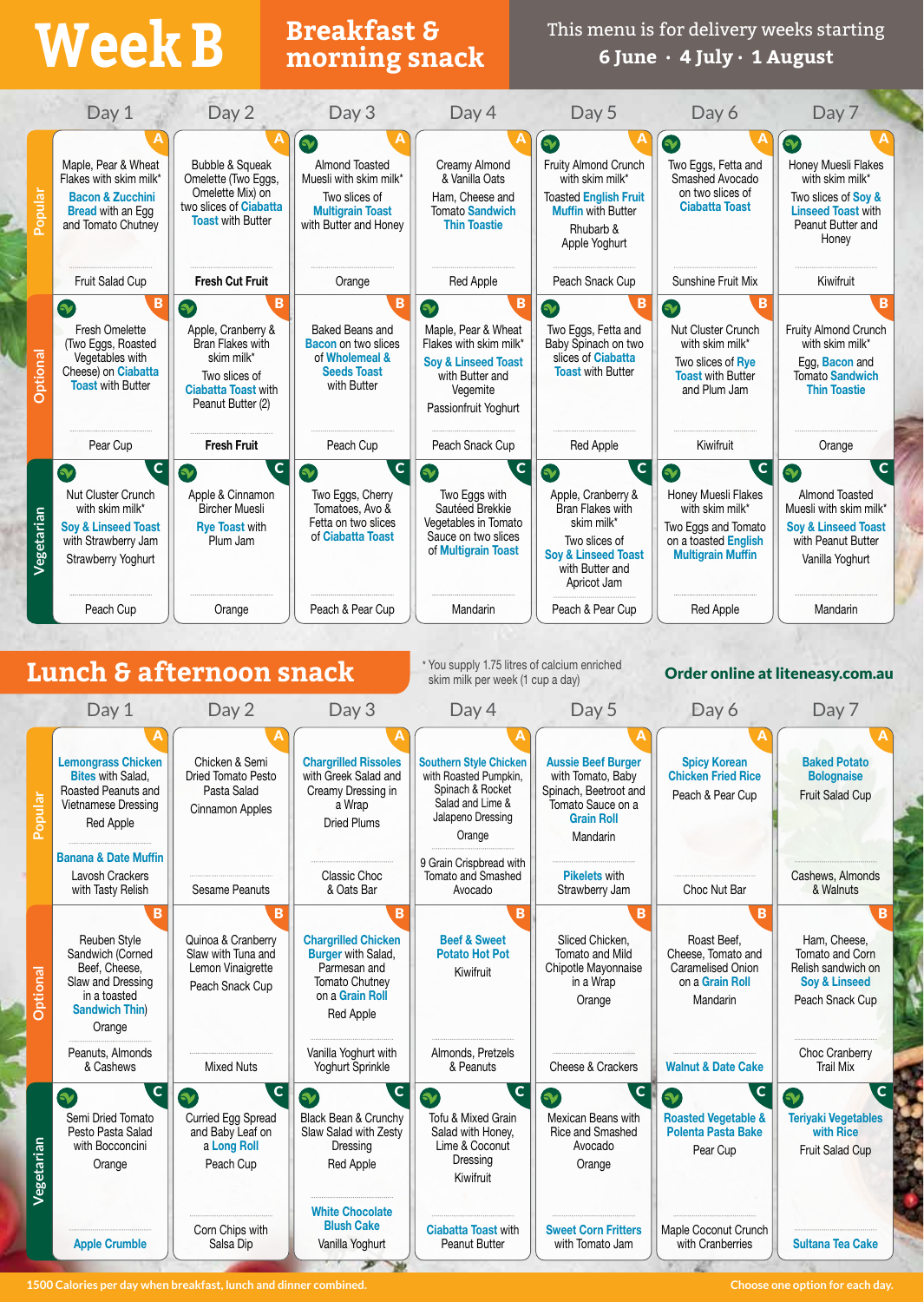## **Breakfast & Week B morning snack**

This menu is for delivery weeks starting **6 June · 4 July · 1 August**

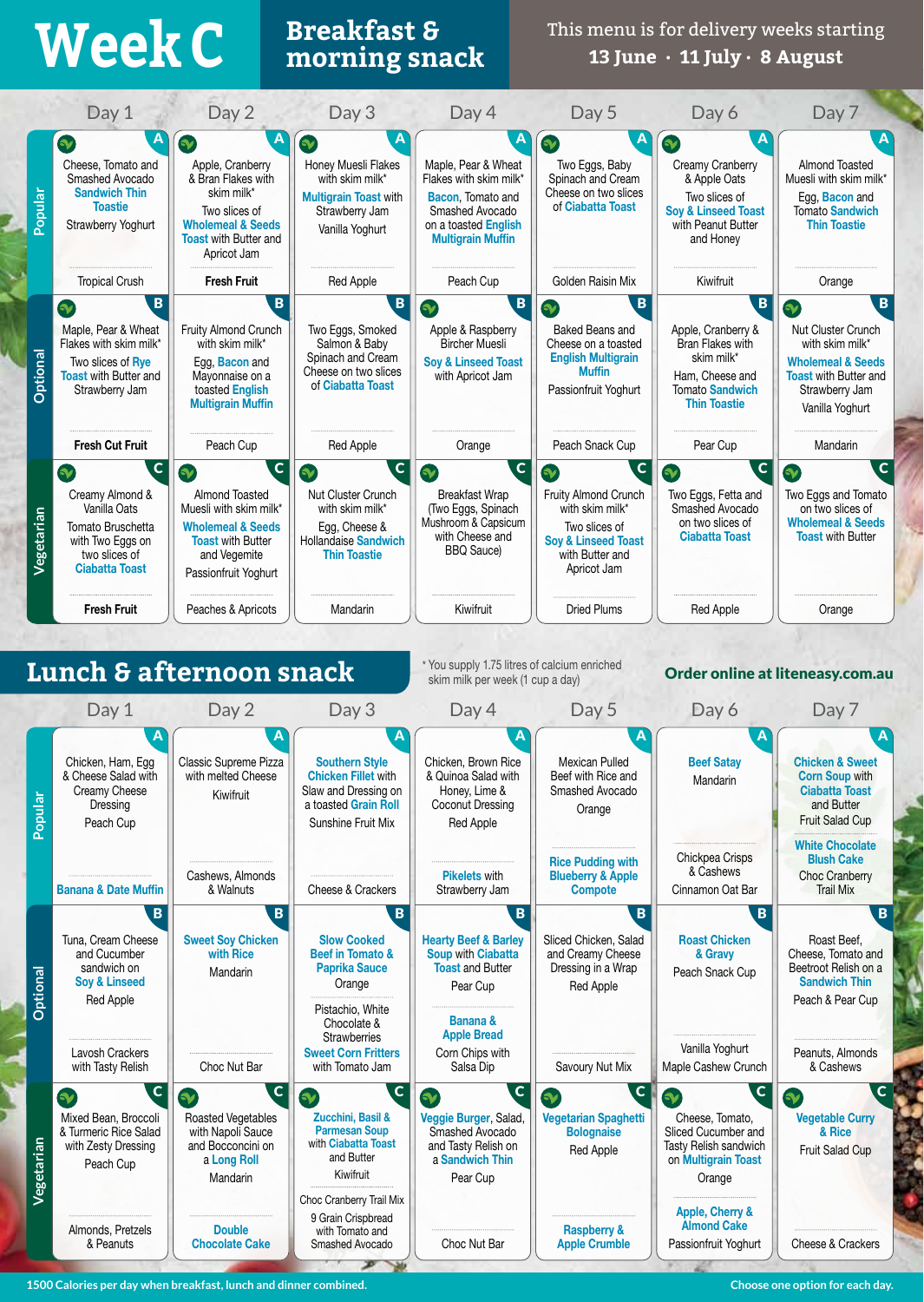## **Breakfast & Week C morning snack**

This menu is for delivery weeks starting **13 June · 11 July · 8 August**

|            | Day 1                                                                                                                                     | Day 2                                                                                                                                                                    | Day 3                                                                                                                                        | Day 4                                                                                                                                                  | Day 5                                                                                                                                                    | Day 6                                                                                                                                    | Day 7                                                                                                                                                           |
|------------|-------------------------------------------------------------------------------------------------------------------------------------------|--------------------------------------------------------------------------------------------------------------------------------------------------------------------------|----------------------------------------------------------------------------------------------------------------------------------------------|--------------------------------------------------------------------------------------------------------------------------------------------------------|----------------------------------------------------------------------------------------------------------------------------------------------------------|------------------------------------------------------------------------------------------------------------------------------------------|-----------------------------------------------------------------------------------------------------------------------------------------------------------------|
| Popular    | $\tilde{\mathbf{v}}$<br>Cheese, Tomato and<br>Smashed Avocado<br><b>Sandwich Thin</b><br><b>Toastie</b><br><b>Strawberry Yoghurt</b>      | $\bullet$<br>Apple, Cranberry<br>& Bran Flakes with<br>skim milk*<br>Two slices of<br><b>Wholemeal &amp; Seeds</b><br><b>Toast with Butter and</b><br>Apricot Jam        | $\mathbf{v}$<br>Honey Muesli Flakes<br>with skim milk*<br><b>Multigrain Toast with</b><br>Strawberry Jam<br>Vanilla Yoghurt                  | А<br>Maple, Pear & Wheat<br>Flakes with skim milk*<br><b>Bacon</b> , Tomato and<br>Smashed Avocado<br>on a toasted English<br><b>Multigrain Muffin</b> | Α<br>V<br>Two Eggs, Baby<br>Spinach and Cream<br>Cheese on two slices<br>of Ciabatta Toast                                                               | $\rightarrow$<br>Creamy Cranberry<br>& Apple Oats<br>Two slices of<br><b>Sov &amp; Linseed Toast</b><br>with Peanut Butter<br>and Honey  | A<br>Almond Toasted<br>Muesli with skim milk*<br>Egg, Bacon and<br><b>Tomato Sandwich</b><br><b>Thin Toastie</b>                                                |
|            | <b>Tropical Crush</b>                                                                                                                     | <b>Fresh Fruit</b>                                                                                                                                                       | Red Apple                                                                                                                                    | Peach Cup                                                                                                                                              | Golden Raisin Mix                                                                                                                                        | Kiwifruit                                                                                                                                | Orange                                                                                                                                                          |
| Optional   | B<br>$\mathbf{v}$<br>Maple, Pear & Wheat<br>Flakes with skim milk*<br>Two slices of Rye<br><b>Toast</b> with Butter and<br>Strawberry Jam | B<br>Fruity Almond Crunch<br>with skim milk*<br>Egg, Bacon and<br>Mayonnaise on a<br>toasted English<br><b>Multigrain Muffin</b>                                         | B<br>Two Eggs, Smoked<br>Salmon & Baby<br>Spinach and Cream<br>Cheese on two slices<br>of Ciabatta Toast                                     | B<br>$\infty$<br>Apple & Raspberry<br><b>Bircher Muesli</b><br><b>Soy &amp; Linseed Toast</b><br>with Apricot Jam                                      | B<br>$\bullet$<br>Baked Beans and<br>Cheese on a toasted<br><b>English Multigrain</b><br><b>Muffin</b><br>Passionfruit Yoghurt                           | B<br>Apple, Cranberry &<br>Bran Flakes with<br>skim milk*<br>Ham, Cheese and<br><b>Tomato Sandwich</b><br><b>Thin Toastie</b>            | B<br>$\mathbf{v}$<br>Nut Cluster Crunch<br>with skim milk*<br><b>Wholemeal &amp; Seeds</b><br><b>Toast with Butter and</b><br>Strawberry Jam<br>Vanilla Yoghurt |
|            | <b>Fresh Cut Fruit</b>                                                                                                                    | Peach Cup                                                                                                                                                                | Red Apple                                                                                                                                    | Orange                                                                                                                                                 | Peach Snack Cup                                                                                                                                          | Pear Cup                                                                                                                                 | Mandarin                                                                                                                                                        |
| Vegetarian | $\mathbf c$<br>Creamy Almond &<br>Vanilla Oats<br>Tomato Bruschetta<br>with Two Eggs on<br>two slices of<br><b>Ciabatta Toast</b>         | $ {\bf C} $<br>$\bullet$<br>Almond Toasted<br>Muesli with skim milk*<br><b>Wholemeal &amp; Seeds</b><br><b>Toast with Butter</b><br>and Vegemite<br>Passionfruit Yoghurt | $\mathbf{C}$<br>$\gamma$<br>Nut Cluster Crunch<br>with skim milk*<br>Egg, Cheese &<br>Hollandaise Sandwich<br><b>Thin Toastie</b>            | $\mathbf{C}$<br>$\bullet$<br><b>Breakfast Wrap</b><br>(Two Eggs, Spinach<br>Mushroom & Capsicum<br>with Cheese and<br><b>BBQ</b> Sauce)                | $\mathbf C$<br>$\bullet$<br>Fruity Almond Crunch<br>with skim milk*<br>Two slices of<br><b>Soy &amp; Linseed Toast</b><br>with Butter and<br>Apricot Jam | $\mathbf c$<br>$\boldsymbol{\gamma}$<br>Two Eggs, Fetta and<br>Smashed Avocado<br>on two slices of<br><b>Ciabatta Toast</b>              | $\mathbf c$<br>$\gamma$<br>Two Eggs and Tomato<br>on two slices of<br><b>Wholemeal &amp; Seeds</b><br><b>Toast with Butter</b>                                  |
|            | <b>Fresh Fruit</b>                                                                                                                        | Peaches & Apricots                                                                                                                                                       | Mandarin                                                                                                                                     | Kiwifruit                                                                                                                                              | <b>Dried Plums</b>                                                                                                                                       | <b>Red Apple</b>                                                                                                                         | Orange                                                                                                                                                          |
|            | Lunch & afternoon snack<br>Day 1                                                                                                          | Day 2                                                                                                                                                                    | Day 3                                                                                                                                        | * You supply 1.75 litres of calcium enriched<br>skim milk per week (1 cup a day)<br>Day 4                                                              | Day 5                                                                                                                                                    | Day 6                                                                                                                                    | Order online at liteneasy.com.au<br>Day 7                                                                                                                       |
| Popula     | Chicken, Ham, Egg<br>& Cheese Salad with<br>Creamy Cheese<br>Dressing<br>Peach Cup                                                        | Classic Supreme Pizza<br>with melted Cheese<br>Kiwifruit                                                                                                                 | <b>Southern Style</b><br><b>Chicken Fillet with</b><br>Slaw and Dressing on<br>a toasted Grain Roll<br>Sunshine Fruit Mix                    | Chicken, Brown Rice<br>& Quinoa Salad with<br>Honey, Lime &<br>Coconut Dressing<br>Red Apple                                                           | А<br>Mexican Pulled<br>Beef with Rice and<br>Smashed Avocado<br>Orange                                                                                   | <b>Beef Satay</b><br>Mandarin                                                                                                            | <b>Chicken &amp; Sweet</b><br><b>Corn Soup with</b><br><b>Ciabatta Toast</b><br>and Butter<br>Fruit Salad Cup                                                   |
|            | <b>Banana &amp; Date Muffin</b><br>B                                                                                                      | Cashews, Almonds<br>& Walnuts<br>$\mathbf{B}$                                                                                                                            | Cheese & Crackers<br>$\mathbf{B}$                                                                                                            | <b>Pikelets with</b><br>Strawberry Jam<br>B                                                                                                            | <b>Rice Pudding with</b><br><b>Blueberry &amp; Apple</b><br><b>Compote</b><br>B                                                                          | Chickpea Crisps<br>& Cashews<br>Cinnamon Oat Bar<br>B                                                                                    | <b>White Chocolate</b><br><b>Blush Cake</b><br><b>Choc Cranberry</b><br><b>Trail Mix</b><br>B                                                                   |
| Optional   | Tuna, Cream Cheese<br>and Cucumber<br>sandwich on<br><b>Soy &amp; Linseed</b><br>Red Apple                                                | <b>Sweet Soy Chicken</b><br>with Rice<br>Mandarin                                                                                                                        | <b>Slow Cooked</b><br><b>Beef in Tomato &amp;</b><br><b>Paprika Sauce</b><br>Orange<br>Pistachio, White<br>Chocolate &                       | <b>Hearty Beef &amp; Barley</b><br><b>Soup with Ciabatta</b><br><b>Toast and Butter</b><br>Pear Cup<br><b>Banana &amp;</b>                             | Sliced Chicken, Salad<br>and Creamy Cheese<br>Dressing in a Wrap<br>Red Apple                                                                            | <b>Roast Chicken</b><br>& Gravy<br>Peach Snack Cup                                                                                       | Roast Beef,<br>Cheese, Tomato and<br>Beetroot Relish on a<br><b>Sandwich Thin</b><br>Peach & Pear Cup                                                           |
|            | Lavosh Crackers<br>with Tasty Relish                                                                                                      | Choc Nut Bar                                                                                                                                                             | <b>Strawberries</b><br><b>Sweet Corn Fritters</b><br>with Tomato Jam                                                                         | <b>Apple Bread</b><br>Corn Chips with<br>Salsa Dip                                                                                                     | Savoury Nut Mix                                                                                                                                          | Vanilla Yoghurt<br>Maple Cashew Crunch                                                                                                   | Peanuts, Almonds<br>& Cashews                                                                                                                                   |
| Vegetarian | $\mathsf{C}$<br>5V<br>Mixed Bean, Broccoli<br>& Turmeric Rice Salad<br>with Zesty Dressing<br>Peach Cup                                   | $\mathbf C$<br>V<br>Roasted Vegetables<br>with Napoli Sauce<br>and Bocconcini on<br>a Long Roll<br>Mandarin                                                              | $\mathsf{C}$<br>V<br>Zucchini, Basil &<br><b>Parmesan Soup</b><br>with Ciabatta Toast<br>and Butter<br>Kiwifruit<br>Choc Cranberry Trail Mix | $\mathbf{C}$<br>$\infty$<br>Veggie Burger, Salad,<br>Smashed Avocado<br>and Tasty Relish on<br>a Sandwich Thin<br>Pear Cup                             | $\mathbf{C}$<br>V<br>Vegetarian Spaghetti<br><b>Bolognaise</b><br>Red Apple                                                                              | $\mathbf{C}$<br>V<br>Cheese, Tomato,<br>Sliced Cucumber and<br>Tasty Relish sandwich<br>on Multigrain Toast<br>Orange<br>Apple, Cherry & | $\overline{c}$<br><b>Vegetable Curry</b><br>& Rice<br>Fruit Salad Cup                                                                                           |
|            | Almonds, Pretzels<br>& Peanuts                                                                                                            | <b>Double</b><br><b>Chocolate Cake</b>                                                                                                                                   | 9 Grain Crispbread<br>with Tomato and<br>Smashed Avocado                                                                                     | Choc Nut Bar                                                                                                                                           | <b>Raspberry &amp;</b><br><b>Apple Crumble</b>                                                                                                           | <b>Almond Cake</b><br>Passionfruit Yoghurt                                                                                               | Cheese & Crackers                                                                                                                                               |

**1500 Calories per day when breakfast, lunch and dinner combined.**